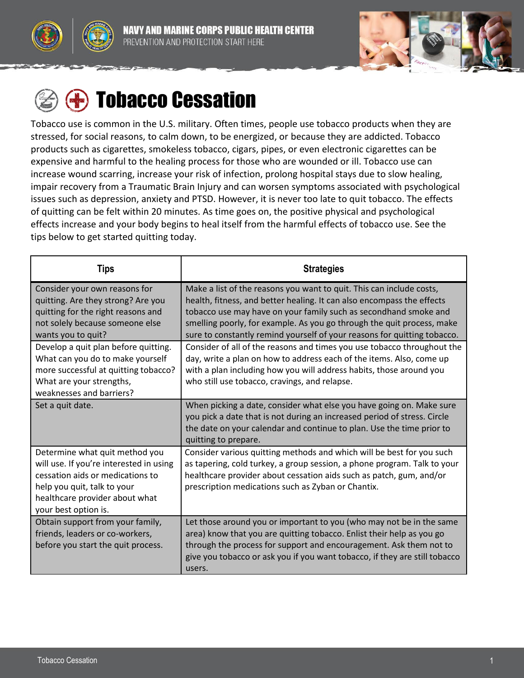



# **<sup><sup>1</sup>**</sup> Tobacco Cessation

Tobacco use is common in the U.S. military. Often times, people use tobacco products when they are stressed, for social reasons, to calm down, to be energized, or because they are addicted. Tobacco products such as cigarettes, smokeless tobacco, cigars, pipes, or even electronic cigarettes can be expensive and harmful to the healing process for those who are wounded or ill. Tobacco use can increase wound scarring, increase your risk of infection, prolong hospital stays due to slow healing, impair recovery from a Traumatic Brain Injury and can worsen symptoms associated with psychological issues such as depression, anxiety and PTSD. However, it is never too late to quit tobacco. The effects of quitting can be felt within 20 minutes. As time goes on, the positive physical and psychological effects increase and your body begins to heal itself from the harmful effects of tobacco use. See the tips below to get started quitting today.

| Tips                                                                                                                                                                                                   | <b>Strategies</b>                                                                                                                                                                                                                                                                                                                                                        |
|--------------------------------------------------------------------------------------------------------------------------------------------------------------------------------------------------------|--------------------------------------------------------------------------------------------------------------------------------------------------------------------------------------------------------------------------------------------------------------------------------------------------------------------------------------------------------------------------|
| Consider your own reasons for<br>quitting. Are they strong? Are you<br>quitting for the right reasons and<br>not solely because someone else<br>wants you to quit?                                     | Make a list of the reasons you want to quit. This can include costs,<br>health, fitness, and better healing. It can also encompass the effects<br>tobacco use may have on your family such as secondhand smoke and<br>smelling poorly, for example. As you go through the quit process, make<br>sure to constantly remind yourself of your reasons for quitting tobacco. |
| Develop a quit plan before quitting.<br>What can you do to make yourself<br>more successful at quitting tobacco?<br>What are your strengths,<br>weaknesses and barriers?                               | Consider of all of the reasons and times you use tobacco throughout the<br>day, write a plan on how to address each of the items. Also, come up<br>with a plan including how you will address habits, those around you<br>who still use tobacco, cravings, and relapse.                                                                                                  |
| Set a quit date.                                                                                                                                                                                       | When picking a date, consider what else you have going on. Make sure<br>you pick a date that is not during an increased period of stress. Circle<br>the date on your calendar and continue to plan. Use the time prior to<br>quitting to prepare.                                                                                                                        |
| Determine what quit method you<br>will use. If you're interested in using<br>cessation aids or medications to<br>help you quit, talk to your<br>healthcare provider about what<br>your best option is. | Consider various quitting methods and which will be best for you such<br>as tapering, cold turkey, a group session, a phone program. Talk to your<br>healthcare provider about cessation aids such as patch, gum, and/or<br>prescription medications such as Zyban or Chantix.                                                                                           |
| Obtain support from your family,<br>friends, leaders or co-workers,<br>before you start the quit process.                                                                                              | Let those around you or important to you (who may not be in the same<br>area) know that you are quitting tobacco. Enlist their help as you go<br>through the process for support and encouragement. Ask them not to<br>give you tobacco or ask you if you want tobacco, if they are still tobacco<br>users.                                                              |